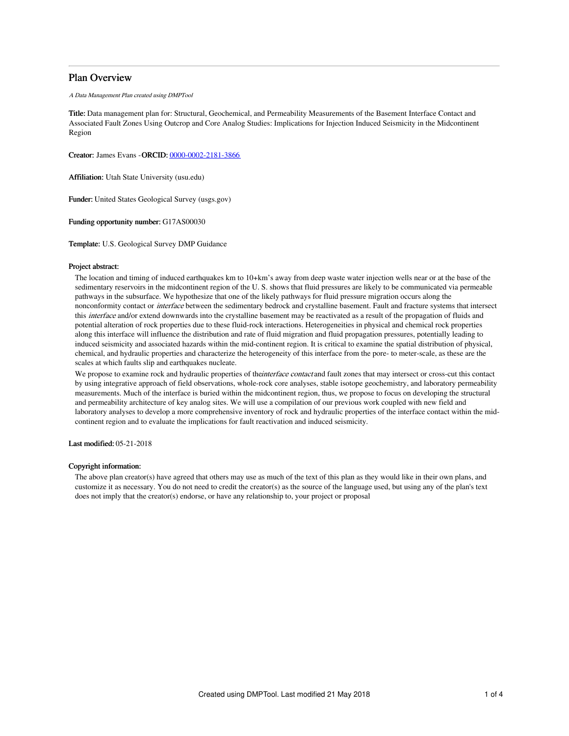# Plan Overview

## A Data Management Plan created using DMPTool

Title: Data management plan for: Structural, Geochemical, and Permeability Measurements of the Basement Interface Contact and Associated Fault Zones Using Outcrop and Core Analog Studies: Implications for Injection Induced Seismicity in the Midcontinent Region

Creator: James Evans -ORCID: [0000-0002-2181-3866](https://orcid.org/0000-0002-2181-3866)

Affiliation: Utah State University (usu.edu)

Funder: United States Geological Survey (usgs.gov)

Funding opportunity number: G17AS00030

Template: U.S. Geological Survey DMP Guidance

## Project abstract:

The location and timing of induced earthquakes km to 10+km's away from deep waste water injection wells near or at the base of the sedimentary reservoirs in the midcontinent region of the U. S. shows that fluid pressures are likely to be communicated via permeable pathways in the subsurface. We hypothesize that one of the likely pathways for fluid pressure migration occurs along the nonconformity contact or interface between the sedimentary bedrock and crystalline basement. Fault and fracture systems that intersect this *interface* and/or extend downwards into the crystalline basement may be reactivated as a result of the propagation of fluids and potential alteration of rock properties due to these fluid-rock interactions. Heterogeneities in physical and chemical rock properties along this interface will influence the distribution and rate of fluid migration and fluid propagation pressures, potentially leading to induced seismicity and associated hazards within the mid-continent region. It is critical to examine the spatial distribution of physical, chemical, and hydraulic properties and characterize the heterogeneity of this interface from the pore- to meter-scale, as these are the scales at which faults slip and earthquakes nucleate.

We propose to examine rock and hydraulic properties of the interface contact and fault zones that may intersect or cross-cut this contact by using integrative approach of field observations, whole-rock core analyses, stable isotope geochemistry, and laboratory permeability measurements. Much of the interface is buried within the midcontinent region, thus, we propose to focus on developing the structural and permeability architecture of key analog sites. We will use a compilation of our previous work coupled with new field and laboratory analyses to develop a more comprehensive inventory of rock and hydraulic properties of the interface contact within the midcontinent region and to evaluate the implications for fault reactivation and induced seismicity.

Last modified: 05-21-2018

## Copyright information:

The above plan creator(s) have agreed that others may use as much of the text of this plan as they would like in their own plans, and customize it as necessary. You do not need to credit the creator(s) as the source of the language used, but using any of the plan's text does not imply that the creator(s) endorse, or have any relationship to, your project or proposal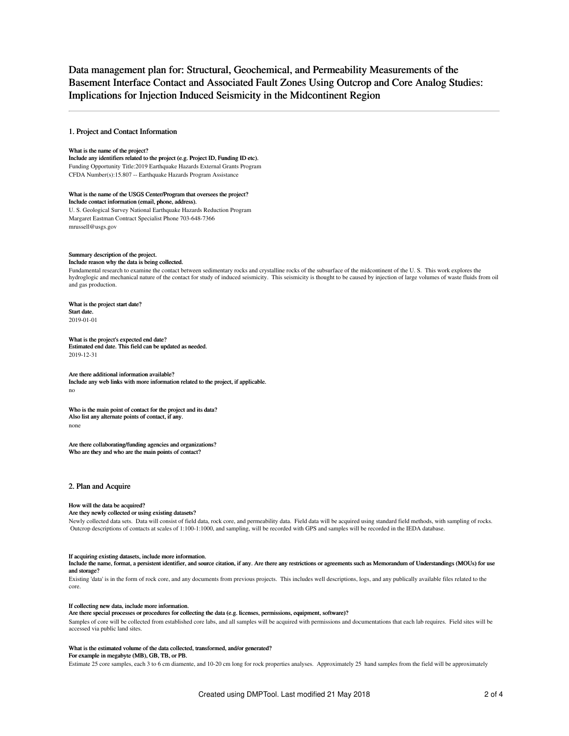# Data management plan for: Structural, Geochemical, and Permeability Measurements of the Basement Interface Contact and Associated Fault Zones Using Outcrop and Core Analog Studies: Implications for Injection Induced Seismicity in the Midcontinent Region

## 1. Project and Contact Information

#### What is the name of the project?

Include any identifiers related to the project (e.g. Project ID, Funding ID etc). Funding Opportunity Title:2019 Earthquake Hazards External Grants Program CFDA Number(s):15.807 -- Earthquake Hazards Program Assistance

## What is the name of the USGS Center/Program that oversees the project? Include contact information (email, phone, address).

U. S. Geological Survey National Earthquake Hazards Reduction Program Margaret Eastman Contract Specialist Phone 703-648-7366 mrussell@usgs.gov

## Summary description of the project.

#### Include reason why the data is being collected.

Fundamental research to examine the contact between sedimentary rocks and crystalline rocks of the subsurface of the midcontinent of the U. S. This work explores the hydroglogic and mechanical nature of the contact for study of induced seismicity. This seismicity is thought to be caused by injection of large volumes of waste fluids from oil and gas production.

#### What is the project start date? Start date.

2019-01-01

What is the project's expected end date? Estimated end date. This field can be updated as needed. 2019-12-31

#### Are there additional information available? Include any web links with more information related to the project, if applicable. no

Who is the main point of contact for the project and its data? Also list any alternate points of contact, if any. none

Are there collaborating/funding agencies and organizations? Who are they and who are the main points of contact?

## 2. Plan and Acquire

## How will the data be acquired?

## Are they newly collected or using existing datasets?

Newly collected data sets. Data will consist of field data, rock core, and permeability data. Field data will be acquired using standard field methods, with sampling of rocks. Outcrop descriptions of contacts at scales of 1:100-1:1000, and sampling, will be recorded with GPS and samples will be recorded in the IEDA database.

#### If acquiring existing datasets, include more information.

Include the name, format, a persistent identifier, and source citation, if any. Are there any restrictions or agreements such as Memorandum of Understandings (MOUs) for use and storage?

Existing 'data' is in the form of rock core, and any documents from previous projects. This includes well descriptions, logs, and any publically available files related to the core.

#### If collecting new data, include more information.

## Are there special processes or procedures for collecting the data (e.g. licenses, permissions, equipment, software)?

Samples of core will be collected from established core labs, and all samples will be acquired with permissions and documentations that each lab requires. Field sites will be accessed via public land sites.

## What is the estimated volume of the data collected, transformed, and/or generated?

## For example in megabyte (MB), GB, TB, or PB.

Estimate 25 core samples, each 3 to 6 cm diamente, and 10-20 cm long for rock properties analyses. Approximately 25 hand samples from the field will be approximately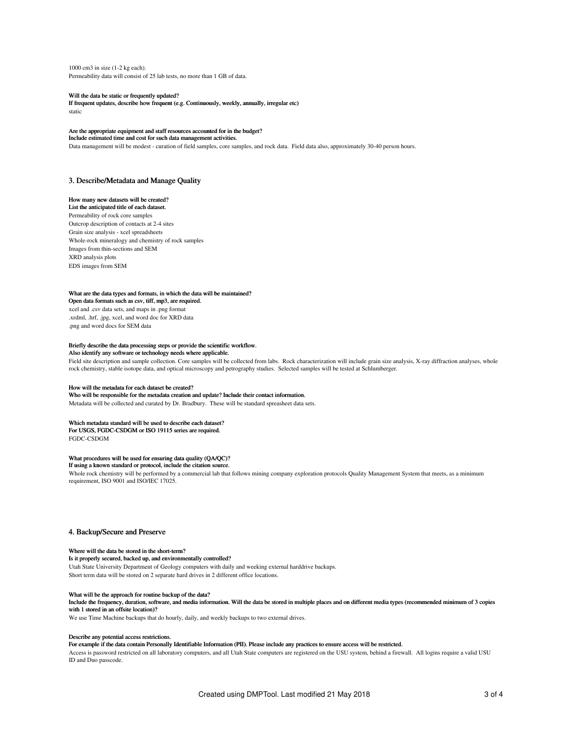1000 cm3 in size (1-2 kg each). Permeability data will consist of 25 lab tests, no more than 1 GB of data.

Will the data be static or frequently updated?

If frequent updates, describe how frequent (e.g. Continuously, weekly, annually, irregular etc) static

# Are the appropriate equipment and staff resources accounted for in the budget?

## Include estimated time and cost for such data management activities.

Data management will be modest - curation of field samples, core samples, and rock data. Field data also, approximately 30-40 person hours.

## 3. Describe/Metadata and Manage Quality

#### How many new datasets will be created? List the anticipated title of each dataset.

Permeability of rock core samples Outcrop description of contacts at 2-4 sites Grain size analysis - xcel spreadsheets Whole-rock mineralogy and chemistry of rock samples Images from thin-sections and SEM XRD analysis plots EDS images from SEM

#### What are the data types and formats, in which the data will be maintained?

Open data formats such as csv, tiff, mp3, are required. xcel and .csv data sets, and maps in .png format .xrdml, .hrf, .jpg, xcel, and word doc for XRD data .png and word docs for SEM data

### Briefly describe the data processing steps or provide the scientific workflow.

## Also identify any software or technology needs where applicable.

Field site description and sample collection. Core samples will be collected from labs. Rock characterization will include grain size analysis, X-ray diffraction analyses, whole rock chemistry, stable isotope data, and optical microscopy and petrography studies. Selected samples will be tested at Schlumberger.

#### How will the metadata for each dataset be created?

Who will be responsible for the metadata creation and update? Include their contact information.

Metadata will be collected and curated by Dr. Bradbury. These will be standard spreasheet data sets.

#### Which metadata standard will be used to describe each dataset? For USGS, FGDC-CSDGM or ISO 19115 series are required.

FGDC-CSDGM

#### What procedures will be used for ensuring data quality (QA/QC)? If using a known standard or protocol, include the citation source.

Whole rock chemistry will be performed by a commercial lab that follows mining company exploration protocols Quality Management System that meets, as a minimum requirement, ISO 9001 and ISO/IEC 17025.

## 4. Backup/Secure and Preserve

## Where will the data be stored in the short-term?

Is it properly secured, backed up, and environmentally controlled? Utah State University Department of Geology computers with daily and weeking external harddrive backups.

Short term data will be stored on 2 separate hard drives in 2 different office locations.

### What will be the approach for routine backup of the data?

Include the frequency, duration, software, and media information. Will the data be stored in multiple places and on different media types (recommended minimum of 3 copies with 1 stored in an offsite location)?

We use Time Machine backups that do hourly, daily, and weekly backups to two external drives.

#### Describe any potential access restrictions.

## For example if the data contain Personally Identifiable Information (PII). Please include any practices to ensure access will be restricted.

Access is password restricted on all laboratory computers, and all Utah State computers are registered on the USU system, behind a firewall. All logins require a valid USU ID and Duo passcode.